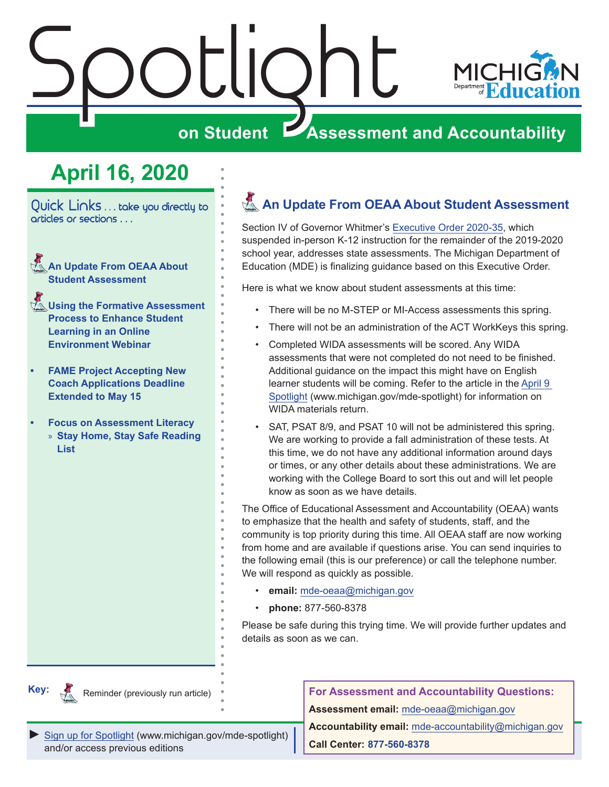<span id="page-0-0"></span>

# **on Student Assessment and Accountability**

# **April 16, 2020**

Quick Links . . . take you directly to articles or sections . . .

- **An Update From OEAA About Student Assessment**
- **K** Using the Formative Assessment **[Process to Enhance Student](#page-1-0)  [Learning in an Online](#page-1-0)  [Environment Webinar](#page-1-0)**
- **• [FAME Project Accepting New](#page-1-0)  [Coach Applications Deadline](#page-1-0)  [Extended to May 15](#page-1-0)**
- **• [Focus on Assessment Literacy](#page-2-0)** » **[Stay Home, Stay Safe Reading](#page-2-0)  [List](#page-2-0)**

# **An Update From OEAA About Student Assessment**

Section IV of Governor Whitmer's [Executive Order 2020-35,](https://www.michigan.gov/whitmer/0,9309,7-387-90499_90705-524032--,00.html) which suspended in-person K-12 instruction for the remainder of the 2019-2020 school year, addresses state assessments. The Michigan Department of Education (MDE) is finalizing guidance based on this Executive Order.

Here is what we know about student assessments at this time:

- There will be no M-STEP or MI-Access assessments this spring.
- There will not be an administration of the ACT WorkKeys this spring.
- Completed WIDA assessments will be scored. Any WIDA assessments that were not completed do not need to be finished. Additional guidance on the impact this might have on English learner students will be coming. Refer to the article in the [April 9](https://www.michigan.gov/documents/mde/Spotlight_4-9-20_686552_7.pdf)  [Spotlight](https://www.michigan.gov/documents/mde/Spotlight_4-9-20_686552_7.pdf) (www.michigan.gov/mde-spotlight) for information on WIDA materials return.
- SAT, PSAT 8/9, and PSAT 10 will not be administered this spring. We are working to provide a fall administration of these tests. At this time, we do not have any additional information around days or times, or any other details about these administrations. We are working with the College Board to sort this out and will let people know as soon as we have details.

The Office of Educational Assessment and Accountability (OEAA) wants to emphasize that the health and safety of students, staff, and the community is top priority during this time. All OEAA staff are now working from home and are available if questions arise. You can send inquiries to the following email (this is our preference) or call the telephone number. We will respond as quickly as possible.

- **email:** [mde-oeaa@michigan.gov](mailto:mde-oeaa%40michigan.gov?subject=)
- **phone:** 877-560-8378

Please be safe during this trying time. We will provide further updates and details as soon as we can.



Reminder (previously run article)

**For Assessment and Accountability Questions: Assessment email:** mde-oea[a@michigan.gov](mailto:mde-oeaa%40michigan.gov?subject=assessment%20question)

*►* [Sign up for Spotlight](https://public.govdelivery.com/accounts/MIMDE/subscriber/new) ([www.michigan.gov/mde-](www.michigan.gov/mde-spotlight)spotlight) and/or access previous editions

**Accountability email:** mde[-accountability@michigan.gov](mailto:MDE-Accountability%40michigan.gov?subject=Accountability%20question) **Call Center: 877-560-8378**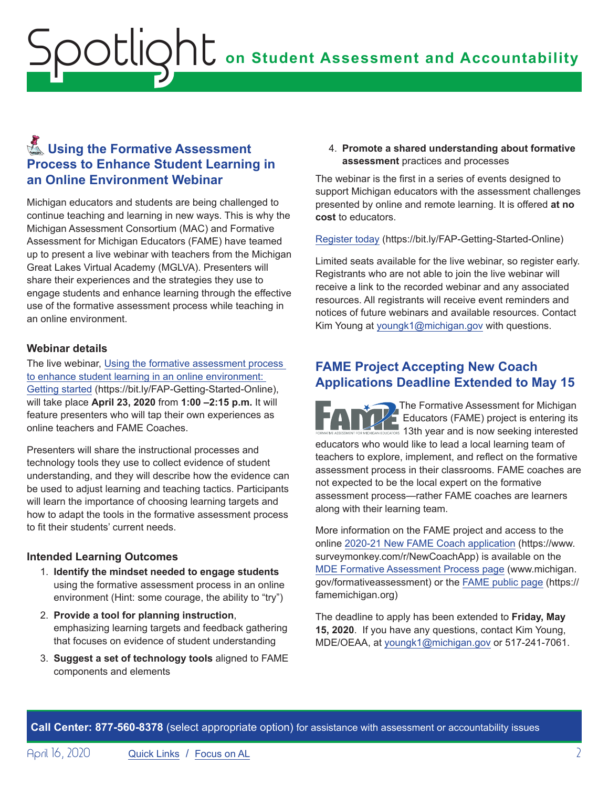# <span id="page-1-0"></span>**on Student Assessment and Accountability** Spotlight

# **K** Using the Formative Assessment **Process to Enhance Student Learning in an Online Environment Webinar**

Michigan educators and students are being challenged to continue teaching and learning in new ways. This is why the Michigan Assessment Consortium (MAC) and Formative Assessment for Michigan Educators (FAME) have teamed up to present a live webinar with teachers from the Michigan Great Lakes Virtual Academy (MGLVA). Presenters will share their experiences and the strategies they use to engage students and enhance learning through the effective use of the formative assessment process while teaching in an online environment.

#### **Webinar details**

The live webinar, [Using the formative assessment process](https://www.michiganassessmentconsortium.org/event/using-the-formative-assessment-process-to-enhance-student-learning-in-an-online-environment-getting-started/)  [to enhance student learning in an online environment:](https://www.michiganassessmentconsortium.org/event/using-the-formative-assessment-process-to-enhance-student-learning-in-an-online-environment-getting-started/)  [Getting started](https://www.michiganassessmentconsortium.org/event/using-the-formative-assessment-process-to-enhance-student-learning-in-an-online-environment-getting-started/) (https://bit.ly/FAP-Getting-Started-Online), will take place **April 23, 2020** from **1:00 –2:15 p.m.** It will feature presenters who will tap their own experiences as online teachers and FAME Coaches.

Presenters will share the instructional processes and technology tools they use to collect evidence of student understanding, and they will describe how the evidence can be used to adjust learning and teaching tactics. Participants will learn the importance of choosing learning targets and how to adapt the tools in the formative assessment process to fit their students' current needs.

#### **Intended Learning Outcomes**

- 1. **Identify the mindset needed to engage students** using the formative assessment process in an online environment (Hint: some courage, the ability to "try")
- 2. **Provide a tool for planning instruction**, emphasizing learning targets and feedback gathering that focuses on evidence of student understanding
- 3. **Suggest a set of technology tools** aligned to FAME components and elements

4. **Promote a shared understanding about formative assessment** practices and processes

The webinar is the first in a series of events designed to support Michigan educators with the assessment challenges presented by online and remote learning. It is offered **at no cost** to educators.

[Register today](https://bit.ly/FAP-Getting-Started-Online) (https://bit.ly/FAP-Getting-Started-Online)

Limited seats available for the live webinar, so register early. Registrants who are not able to join the live webinar will receive a link to the recorded webinar and any associated resources. All registrants will receive event reminders and notices of future webinars and available resources. Contact Kim Young at [youngk1@michigan.gov](mailto:youngk1%40michigan.gov?subject=) with questions.

## **FAME Project Accepting New Coach Applications Deadline Extended to May 15**

The Formative Assessment for Michigan Educators (FAME) project is entering its 13th year and is now seeking interested educators who would like to lead a local learning team of teachers to explore, implement, and reflect on the formative assessment process in their classrooms. FAME coaches are not expected to be the local expert on the formative assessment process—rather FAME coaches are learners along with their learning team.

More information on the FAME project and access to the online [2020-21 New FAME Coach application](https://www.surveymonkey.com/r/NewCoachApp) (https://www. surveymonkey.com/r/NewCoachApp) is available on the [MDE Formative Assessment Process page](http://www.michigan.gov/formativeassessment) (www.michigan. gov/formativeassessment) or the [FAME public page](https://famemichigan.org) (https:// famemichigan.org)

The deadline to apply has been extended to **Friday, May 15, 2020**. If you have any questions, contact Kim Young, MDE/OEAA, at [youngk1@michigan.gov](mailto:youngk1%40michigan.gov?subject=) or 517-241-7061.

**Call Center: 877-560-8378** (select appropriate option) for assistance with assessment or accountability issues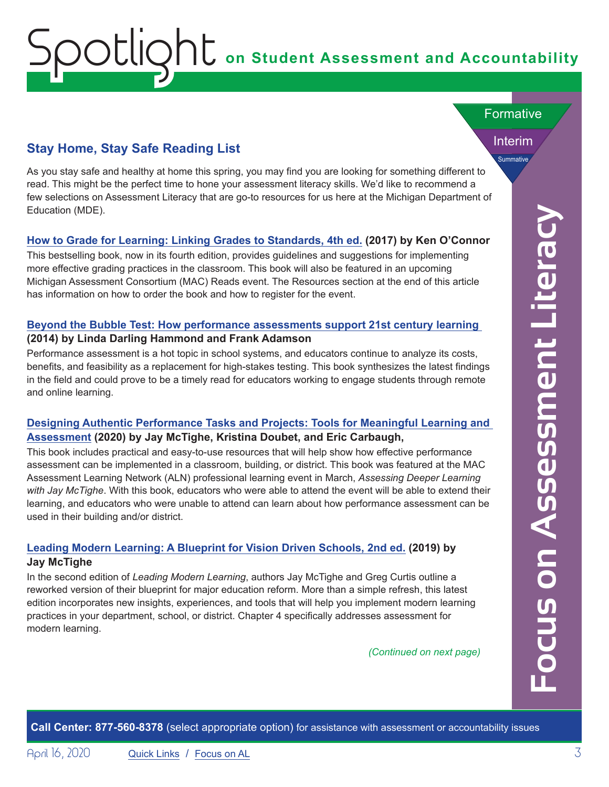# **on Student Assessment and Accountability**

## **Stay Home, Stay Safe Reading List**

<span id="page-2-0"></span>Spotlight

As you stay safe and healthy at home this spring, you may find you are looking for something different to read. This might be the perfect time to hone your assessment literacy skills. We'd like to recommend a few selections on Assessment Literacy that are go-to resources for us here at the Michigan Department of Education (MDE).

#### **[How to Grade for Learning: Linking Grades to Standards, 4th ed.](https://us.corwin.com/en-us/nam/how-to-grade-for-learning/book249818) (2017) by Ken O'Connor**

This bestselling book, now in its fourth edition, provides guidelines and suggestions for implementing more effective grading practices in the classroom. This book will also be featured in an upcoming Michigan Assessment Consortium (MAC) Reads event. The Resources section at the end of this article has information on how to order the book and how to register for the event.

#### **[Beyond the Bubble Test: How performance assessments support 21st century learning](https://www.amazon.com/Beyond-Bubble-Test-Performance-Assessments/dp/1118456181)  (2014) by Linda Darling Hammond and Frank Adamson**

Performance assessment is a hot topic in school systems, and educators continue to analyze its costs, benefits, and feasibility as a replacement for high-stakes testing. This book synthesizes the latest findings in the field and could prove to be a timely read for educators working to engage students through remote and online learning.

#### **[Designing Authentic Performance Tasks and Projects: Tools for Meaningful Learning and](https://www.amazon.com/Designing-Authentic-Performance-Tasks-Projects-ebook/dp/B084T6NFHX/ref=sr_1_2?crid=3K76Y6NHSH5Y7&dchild=1&keywords=designing+authentic+performance+tasks+and+projects&qid=1586263790&s=books&sprefix=designing+authentic%2Cstripbooks%2C166&sr=1-2)  [Assessment](https://www.amazon.com/Designing-Authentic-Performance-Tasks-Projects-ebook/dp/B084T6NFHX/ref=sr_1_2?crid=3K76Y6NHSH5Y7&dchild=1&keywords=designing+authentic+performance+tasks+and+projects&qid=1586263790&s=books&sprefix=designing+authentic%2Cstripbooks%2C166&sr=1-2) (2020) by Jay McTighe, Kristina Doubet, and Eric Carbaugh,**

This book includes practical and easy-to-use resources that will help show how effective performance assessment can be implemented in a classroom, building, or district. This book was featured at the MAC Assessment Learning Network (ALN) professional learning event in March, *Assessing Deeper Learning with Jay McTighe*. With this book, educators who were able to attend the event will be able to extend their learning, and educators who were unable to attend can learn about how performance assessment can be used in their building and/or district.

#### **[Leading Modern Learning: A Blueprint for Vision Driven Schools, 2nd ed.](https://www.amazon.com/Leading-Modern-Learning-Blueprint-Vision-Driven-ebook/dp/B012ETMIUE) (2019) by Jay McTighe**

In the second edition of *Leading Modern Learning*, authors Jay McTighe and Greg Curtis outline a reworked version of their blueprint for major education reform. More than a simple refresh, this latest edition incorporates new insights, experiences, and tools that will help you implement modern learning practices in your department, school, or district. Chapter 4 specifically addresses assessment for modern learning.

*(Continued on next page)*

Interim

<span id="page-2-1"></span>**Summative** 

**Formative** 

**Call Center: 877-560-8378** (select appropriate option) for assistance with assessment or accountability issues